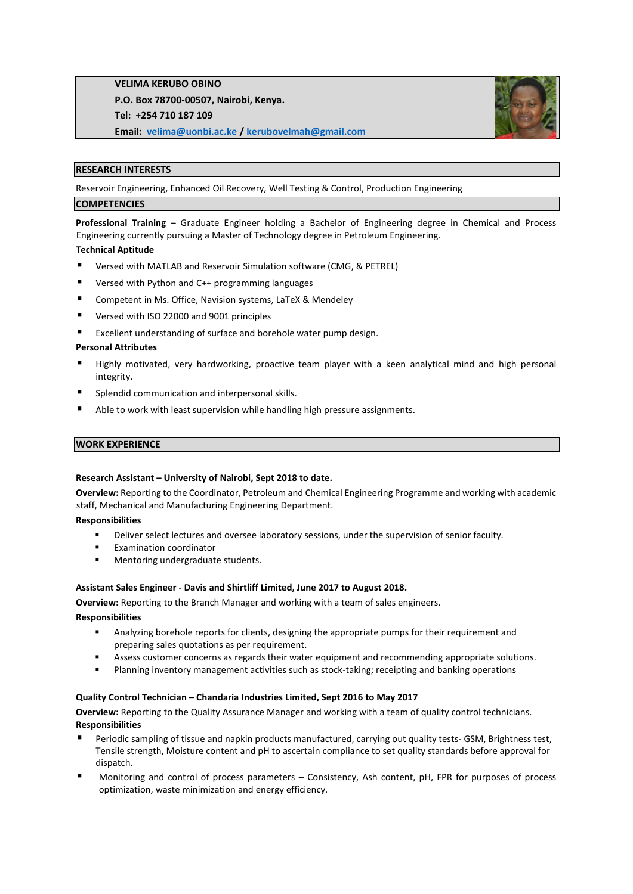**VELIMA KERUBO OBINO P.O. Box 78700-00507, Nairobi, Kenya. Tel: +254 710 187 109 Email: [velima@uonbi.ac.ke](mailto:velima@uonbi.ac.ke) / [kerubovelmah@gmail.com](mailto:kerubovelmah@gmail.com)** 



#### **RESEARCH INTERESTS**

Reservoir Engineering, Enhanced Oil Recovery, Well Testing & Control, Production Engineering

### **COMPETENCIES**

**Professional Training** – Graduate Engineer holding a Bachelor of Engineering degree in Chemical and Process Engineering currently pursuing a Master of Technology degree in Petroleum Engineering.

### **Technical Aptitude**

- Versed with MATLAB and Reservoir Simulation software (CMG, & PETREL)
- Versed with Python and C++ programming languages
- Competent in Ms. Office, Navision systems, LaTeX & Mendeley
- Versed with ISO 22000 and 9001 principles
- Excellent understanding of surface and borehole water pump design.

### **Personal Attributes**

- Highly motivated, very hardworking, proactive team player with a keen analytical mind and high personal integrity.
- Splendid communication and interpersonal skills.
- Able to work with least supervision while handling high pressure assignments.

#### **WORK EXPERIENCE**

#### **Research Assistant – University of Nairobi, Sept 2018 to date.**

**Overview:** Reporting to the Coordinator, Petroleum and Chemical Engineering Programme and working with academic staff, Mechanical and Manufacturing Engineering Department.

#### **Responsibilities**

- **•** Deliver select lectures and oversee laboratory sessions, under the supervision of senior faculty.
- **Examination coordinator**
- Mentoring undergraduate students.

#### **Assistant Sales Engineer - Davis and Shirtliff Limited, June 2017 to August 2018.**

**Overview:** Reporting to the Branch Manager and working with a team of sales engineers.

#### **Responsibilities**

- Analyzing borehole reports for clients, designing the appropriate pumps for their requirement and preparing sales quotations as per requirement.
- Assess customer concerns as regards their water equipment and recommending appropriate solutions.
- **■** Planning inventory management activities such as stock-taking; receipting and banking operations

#### **Quality Control Technician – Chandaria Industries Limited, Sept 2016 to May 2017**

**Overview:** Reporting to the Quality Assurance Manager and working with a team of quality control technicians. **Responsibilities**

- Periodic sampling of tissue and napkin products manufactured, carrying out quality tests- GSM, Brightness test, Tensile strength, Moisture content and pH to ascertain compliance to set quality standards before approval for dispatch.
- Monitoring and control of process parameters Consistency, Ash content, pH, FPR for purposes of process optimization, waste minimization and energy efficiency.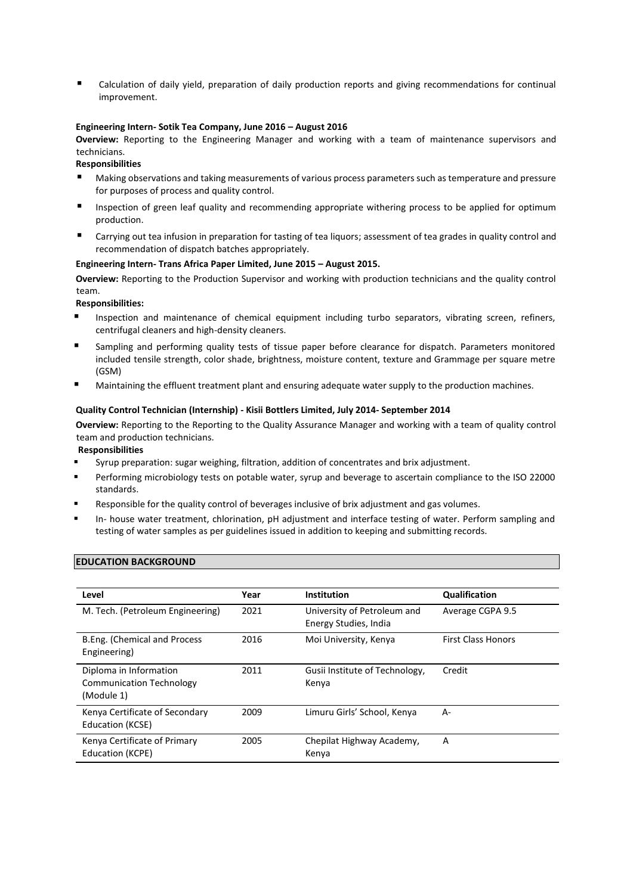Calculation of daily yield, preparation of daily production reports and giving recommendations for continual improvement.

### **Engineering Intern- Sotik Tea Company, June 2016 – August 2016**

**Overview:** Reporting to the Engineering Manager and working with a team of maintenance supervisors and technicians.

**Responsibilities**

- Making observations and taking measurements of various process parameters such as temperature and pressure for purposes of process and quality control.
- Inspection of green leaf quality and recommending appropriate withering process to be applied for optimum production.
- Carrying out tea infusion in preparation for tasting of tea liquors; assessment of tea grades in quality control and recommendation of dispatch batches appropriately.

## **Engineering Intern- Trans Africa Paper Limited, June 2015 – August 2015.**

**Overview:** Reporting to the Production Supervisor and working with production technicians and the quality control team.

**Responsibilities:**

- Inspection and maintenance of chemical equipment including turbo separators, vibrating screen, refiners, centrifugal cleaners and high-density cleaners.
- Sampling and performing quality tests of tissue paper before clearance for dispatch. Parameters monitored included tensile strength, color shade, brightness, moisture content, texture and Grammage per square metre (GSM)
- Maintaining the effluent treatment plant and ensuring adequate water supply to the production machines.

### **Quality Control Technician (Internship) - Kisii Bottlers Limited, July 2014- September 2014**

**Overview:** Reporting to the Reporting to the Quality Assurance Manager and working with a team of quality control team and production technicians.

**Responsibilities**

- Syrup preparation: sugar weighing, filtration, addition of concentrates and brix adjustment.
- Performing microbiology tests on potable water, syrup and beverage to ascertain compliance to the ISO 22000 standards.
- Responsible for the quality control of beverages inclusive of brix adjustment and gas volumes.
- In- house water treatment, chlorination, pH adjustment and interface testing of water. Perform sampling and testing of water samples as per guidelines issued in addition to keeping and submitting records.

#### **EDUCATION BACKGROUND**

| Level                                                                   | Year | <b>Institution</b>                                   | <b>Qualification</b>      |
|-------------------------------------------------------------------------|------|------------------------------------------------------|---------------------------|
| M. Tech. (Petroleum Engineering)                                        | 2021 | University of Petroleum and<br>Energy Studies, India | Average CGPA 9.5          |
| B.Eng. (Chemical and Process<br>Engineering)                            | 2016 | Moi University, Kenya                                | <b>First Class Honors</b> |
| Diploma in Information<br><b>Communication Technology</b><br>(Module 1) | 2011 | Gusii Institute of Technology,<br>Kenya              | Credit                    |
| Kenya Certificate of Secondary<br>Education (KCSE)                      | 2009 | Limuru Girls' School, Kenya                          | A-                        |
| Kenya Certificate of Primary<br>Education (KCPE)                        | 2005 | Chepilat Highway Academy,<br>Kenya                   | A                         |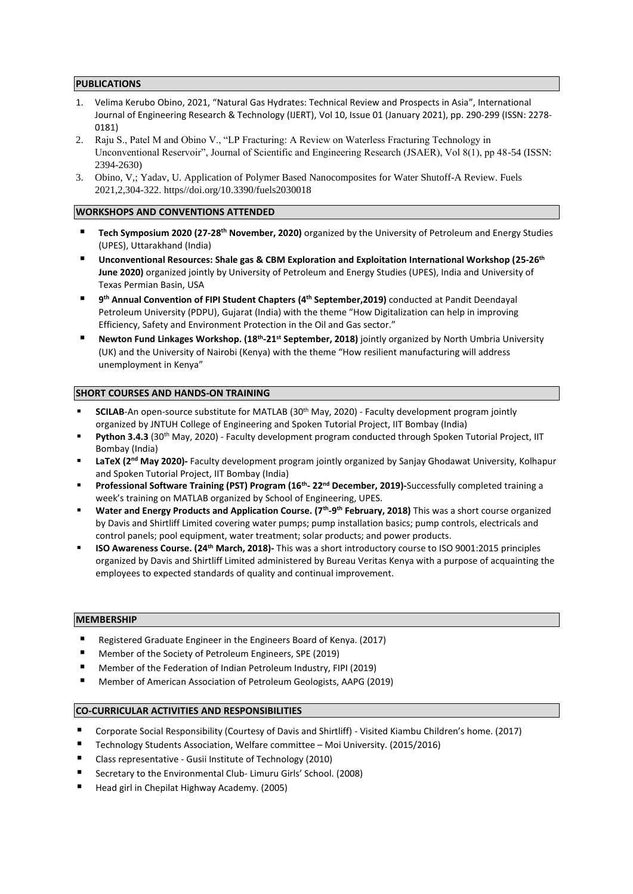### **PUBLICATIONS**

- 1. Velima Kerubo Obino, 2021, "Natural Gas Hydrates: Technical Review and Prospects in Asia", International Journal of Engineering Research & Technology (IJERT), Vol 10, Issue 01 (January 2021), pp. 290-299 (ISSN: 2278- 0181)
- 2. Raju S., Patel M and Obino V., "LP Fracturing: A Review on Waterless Fracturing Technology in Unconventional Reservoir", Journal of Scientific and Engineering Research (JSAER), Vol 8(1), pp 48-54 (ISSN: 2394-2630)
- 3. Obino, V,; Yadav, U. Application of Polymer Based Nanocomposites for Water Shutoff-A Review. Fuels 2021,2,304-322. https//doi.org/10.3390/fuels2030018

### **WORKSHOPS AND CONVENTIONS ATTENDED**

- **Tech Symposium 2020 (27-28th November, 2020)** organized by the University of Petroleum and Energy Studies (UPES), Uttarakhand (India)
- **Unconventional Resources: Shale gas & CBM Exploration and Exploitation International Workshop (25-26th June 2020)** organized jointly by University of Petroleum and Energy Studies (UPES), India and University of Texas Permian Basin, USA
- **9 th Annual Convention of FIPI Student Chapters (4th September,2019)** conducted at Pandit Deendayal Petroleum University (PDPU), Gujarat (India) with the theme "How Digitalization can help in improving Efficiency, Safety and Environment Protection in the Oil and Gas sector."
- Newton Fund Linkages Workshop. (18<sup>th</sup>-21<sup>st</sup> September, 2018) jointly organized by North Umbria University (UK) and the University of Nairobi (Kenya) with the theme "How resilient manufacturing will address unemployment in Kenya"

### **SHORT COURSES AND HANDS-ON TRAINING**

- **EXECT SCILAB-**An open-source substitute for MATLAB (30<sup>th</sup> May, 2020) Faculty development program jointly organized by JNTUH College of Engineering and Spoken Tutorial Project, IIT Bombay (India)
- **Python 3.4.3** (30<sup>th</sup> May, 2020) Faculty development program conducted through Spoken Tutorial Project, IIT Bombay (India)
- LaTeX (2<sup>nd</sup> May 2020)- Faculty development program jointly organized by Sanjay Ghodawat University, Kolhapur and Spoken Tutorial Project, IIT Bombay (India)
- **Professional Software Training (PST) Program (16th - 22nd December, 2019)-**Successfully completed training a week's training on MATLAB organized by School of Engineering, UPES.
- Water and Energy Products and Application Course. (7<sup>th</sup>-9<sup>th</sup> February, 2018) This was a short course organized by Davis and Shirtliff Limited covering water pumps; pump installation basics; pump controls, electricals and control panels; pool equipment, water treatment; solar products; and power products.
- **ISO Awareness Course. (24th March, 2018)-** This was a short introductory course to ISO 9001:2015 principles organized by Davis and Shirtliff Limited administered by Bureau Veritas Kenya with a purpose of acquainting the employees to expected standards of quality and continual improvement.

#### **MEMBERSHIP**

- Registered Graduate Engineer in the Engineers Board of Kenya. (2017)
- Member of the Society of Petroleum Engineers, SPE (2019)
- Member of the Federation of Indian Petroleum Industry, FIPI (2019)
- Member of American Association of Petroleum Geologists, AAPG (2019)

# **CO-CURRICULAR ACTIVITIES AND RESPONSIBILITIES**

- Corporate Social Responsibility (Courtesy of Davis and Shirtliff) Visited Kiambu Children's home. (2017)
- Technology Students Association, Welfare committee Moi University. (2015/2016)
- Class representative Gusii Institute of Technology (2010)
- Secretary to the Environmental Club- Limuru Girls' School. (2008)
- Head girl in Chepilat Highway Academy. (2005)